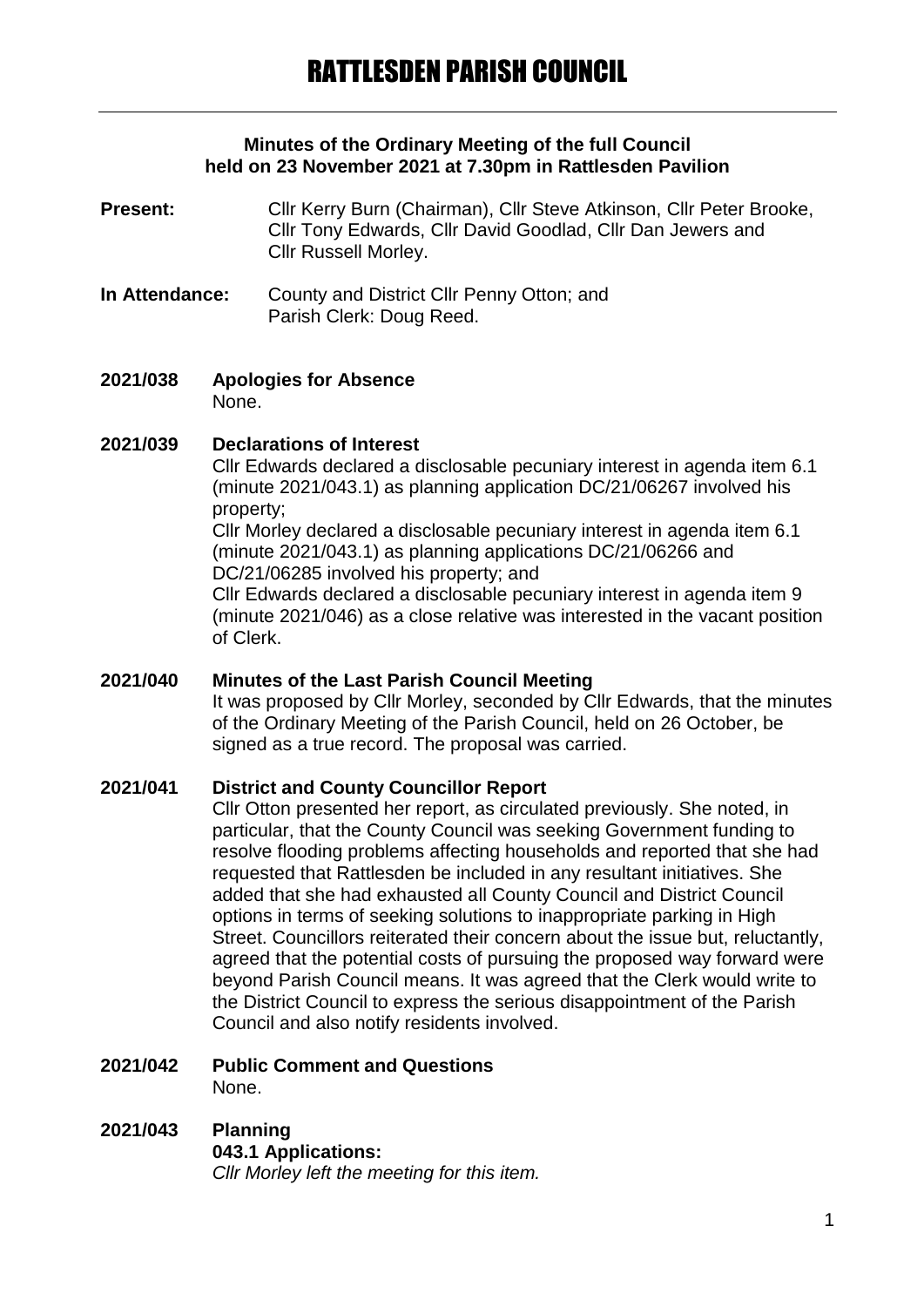### **Minutes of the Ordinary Meeting of the full Council held on 23 November 2021 at 7.30pm in Rattlesden Pavilion**

- Present: Cllr Kerry Burn (Chairman), Cllr Steve Atkinson, Cllr Peter Brooke, Cllr Tony Edwards, Cllr David Goodlad, Cllr Dan Jewers and Cllr Russell Morley.
- **In Attendance:** County and District Cllr Penny Otton; and Parish Clerk: Doug Reed.
- **2021/038 Apologies for Absence** None.

### **2021/039 Declarations of Interest**

Cllr Edwards declared a disclosable pecuniary interest in agenda item 6.1 (minute 2021/043.1) as planning application DC/21/06267 involved his property;

Cllr Morley declared a disclosable pecuniary interest in agenda item 6.1 (minute 2021/043.1) as planning applications DC/21/06266 and DC/21/06285 involved his property; and

Cllr Edwards declared a disclosable pecuniary interest in agenda item 9 (minute 2021/046) as a close relative was interested in the vacant position of Clerk.

## **2021/040 Minutes of the Last Parish Council Meeting**

It was proposed by Cllr Morley, seconded by Cllr Edwards, that the minutes of the Ordinary Meeting of the Parish Council, held on 26 October, be signed as a true record. The proposal was carried.

## **2021/041 District and County Councillor Report**

Cllr Otton presented her report, as circulated previously. She noted, in particular, that the County Council was seeking Government funding to resolve flooding problems affecting households and reported that she had requested that Rattlesden be included in any resultant initiatives. She added that she had exhausted all County Council and District Council options in terms of seeking solutions to inappropriate parking in High Street. Councillors reiterated their concern about the issue but, reluctantly, agreed that the potential costs of pursuing the proposed way forward were beyond Parish Council means. It was agreed that the Clerk would write to the District Council to express the serious disappointment of the Parish Council and also notify residents involved.

# **2021/042 Public Comment and Questions** None.

### **2021/043 Planning 043.1 Applications:** *Cllr Morley left the meeting for this item.*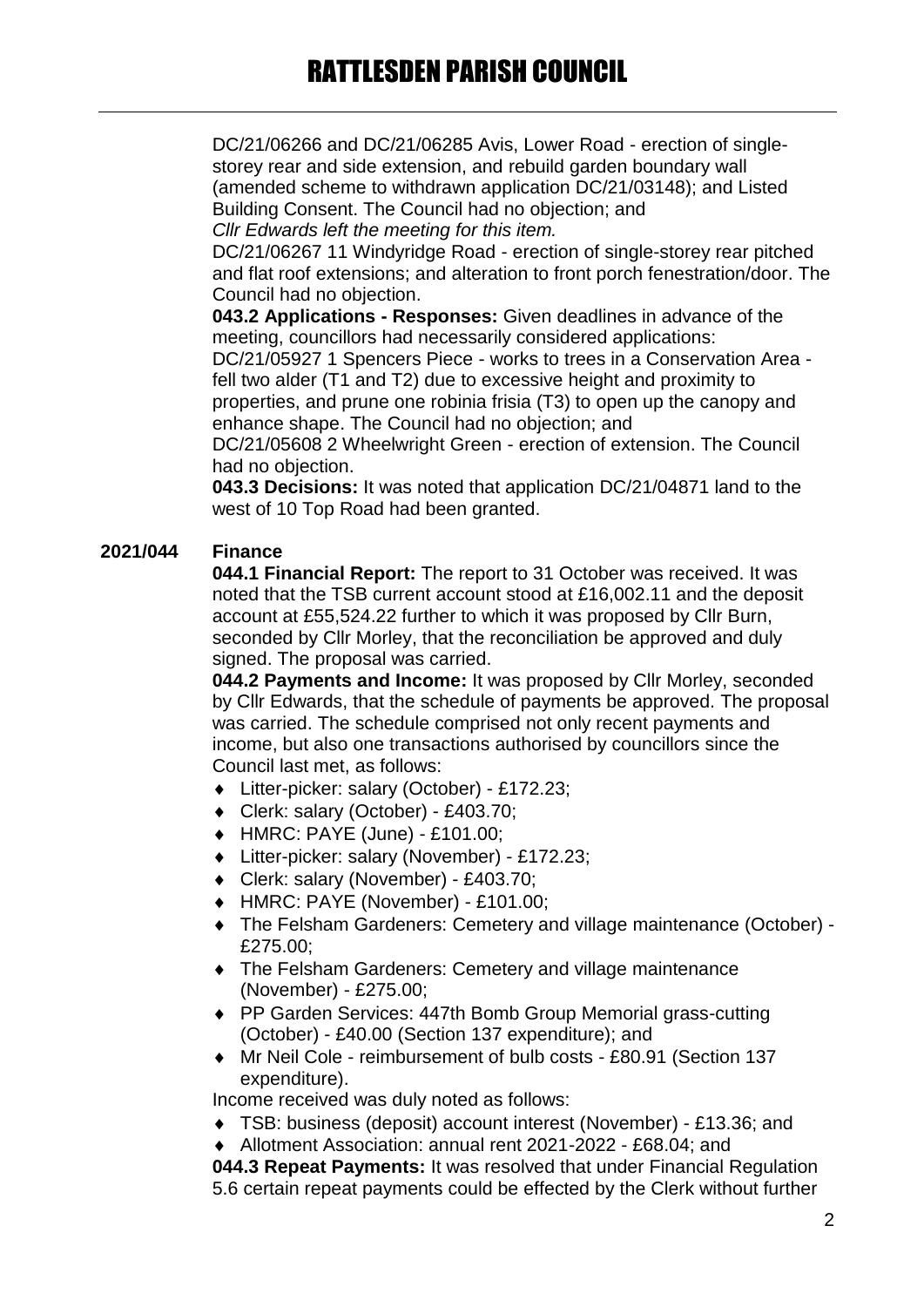DC/21/06266 and DC/21/06285 Avis, Lower Road - erection of singlestorey rear and side extension, and rebuild garden boundary wall (amended scheme to withdrawn application DC/21/03148); and Listed Building Consent. The Council had no objection; and *Cllr Edwards left the meeting for this item.*

DC/21/06267 11 Windyridge Road - erection of single-storey rear pitched and flat roof extensions; and alteration to front porch fenestration/door. The Council had no objection.

**043.2 Applications - Responses:** Given deadlines in advance of the meeting, councillors had necessarily considered applications:

DC/21/05927 1 Spencers Piece - works to trees in a Conservation Area fell two alder (T1 and T2) due to excessive height and proximity to properties, and prune one robinia frisia (T3) to open up the canopy and enhance shape. The Council had no objection; and

DC/21/05608 2 Wheelwright Green - erection of extension. The Council had no objection.

**043.3 Decisions:** It was noted that application DC/21/04871 land to the west of 10 Top Road had been granted.

# **2021/044 Finance**

**044.1 Financial Report:** The report to 31 October was received. It was noted that the TSB current account stood at £16,002.11 and the deposit account at £55,524.22 further to which it was proposed by Cllr Burn, seconded by Cllr Morley, that the reconciliation be approved and duly signed. The proposal was carried.

**044.2 Payments and Income:** It was proposed by Cllr Morley, seconded by Cllr Edwards, that the schedule of payments be approved. The proposal was carried. The schedule comprised not only recent payments and income, but also one transactions authorised by councillors since the Council last met, as follows:

- Litter-picker: salary (October) £172.23;
- Clerk: salary (October) £403.70;
- HMRC: PAYE (June) £101.00;
- Litter-picker: salary (November) £172.23;
- Clerk: salary (November) £403.70;
- HMRC: PAYE (November) £101.00;
- The Felsham Gardeners: Cemetery and village maintenance (October) £275.00;
- The Felsham Gardeners: Cemetery and village maintenance (November) - £275.00;
- ◆ PP Garden Services: 447th Bomb Group Memorial grass-cutting (October) - £40.00 (Section 137 expenditure); and
- Mr Neil Cole reimbursement of bulb costs £80.91 (Section 137 expenditure).

Income received was duly noted as follows:

- TSB: business (deposit) account interest (November) £13.36; and
- Allotment Association: annual rent 2021-2022 £68.04; and

**044.3 Repeat Payments:** It was resolved that under Financial Regulation 5.6 certain repeat payments could be effected by the Clerk without further